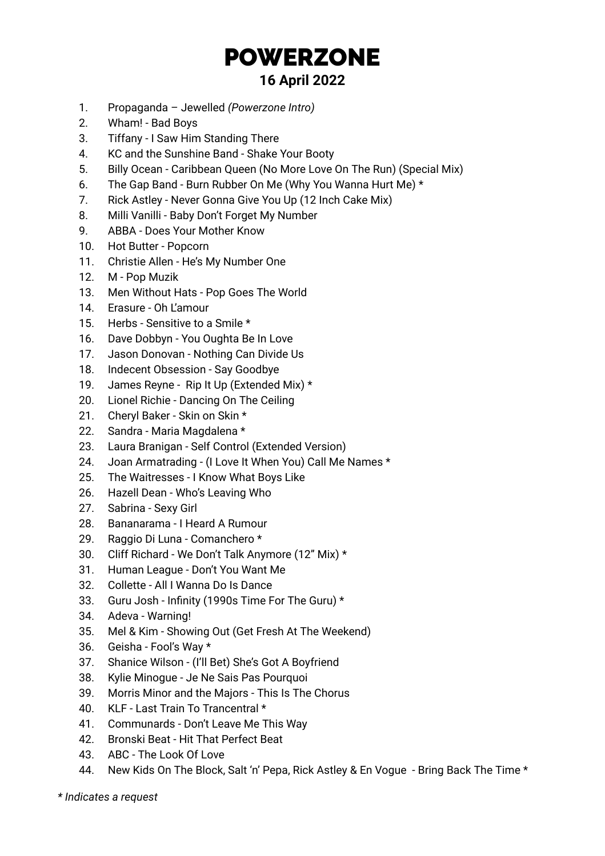## POWERZONE **16 April 2022**

- 1. Propaganda Jewelled *(Powerzone Intro)*
- 2. Wham! Bad Boys
- 3. Tiffany I Saw Him Standing There
- 4. KC and the Sunshine Band Shake Your Booty
- 5. Billy Ocean Caribbean Queen (No More Love On The Run) (Special Mix)
- 6. The Gap Band Burn Rubber On Me (Why You Wanna Hurt Me) \*
- 7. Rick Astley Never Gonna Give You Up (12 Inch Cake Mix)
- 8. Milli Vanilli Baby Don't Forget My Number
- 9. ABBA Does Your Mother Know
- 10. Hot Butter Popcorn
- 11. Christie Allen He's My Number One
- 12. M Pop Muzik
- 13. Men Without Hats Pop Goes The World
- 14. Erasure Oh L'amour
- 15. Herbs Sensitive to a Smile \*
- 16. Dave Dobbyn You Oughta Be In Love
- 17. Jason Donovan Nothing Can Divide Us
- 18. Indecent Obsession Say Goodbye
- 19. James Reyne Rip It Up (Extended Mix) \*
- 20. Lionel Richie Dancing On The Ceiling
- 21. Cheryl Baker Skin on Skin \*
- 22. Sandra Maria Magdalena \*
- 23. Laura Branigan Self Control (Extended Version)
- 24. Joan Armatrading (I Love It When You) Call Me Names \*
- 25. The Waitresses I Know What Boys Like
- 26. Hazell Dean Who's Leaving Who
- 27. Sabrina Sexy Girl
- 28. Bananarama I Heard A Rumour
- 29. Raggio Di Luna Comanchero \*
- 30. Cliff Richard We Don't Talk Anymore (12" Mix) \*
- 31. Human League Don't You Want Me
- 32. Collette All I Wanna Do Is Dance
- 33. Guru Josh Infinity (1990s Time For The Guru) \*
- 34. Adeva Warning!
- 35. Mel & Kim Showing Out (Get Fresh At The Weekend)
- 36. Geisha Fool's Way \*
- 37. Shanice Wilson (I'll Bet) She's Got A Boyfriend
- 38. Kylie Minogue Je Ne Sais Pas Pourquoi
- 39. Morris Minor and the Majors This Is The Chorus
- 40. KLF Last Train To Trancentral \*
- 41. Communards Don't Leave Me This Way
- 42. Bronski Beat Hit That Perfect Beat
- 43. ABC The Look Of Love
- 44. New Kids On The Block, Salt 'n' Pepa, Rick Astley & En Vogue Bring Back The Time \*

*\* Indicates a request*